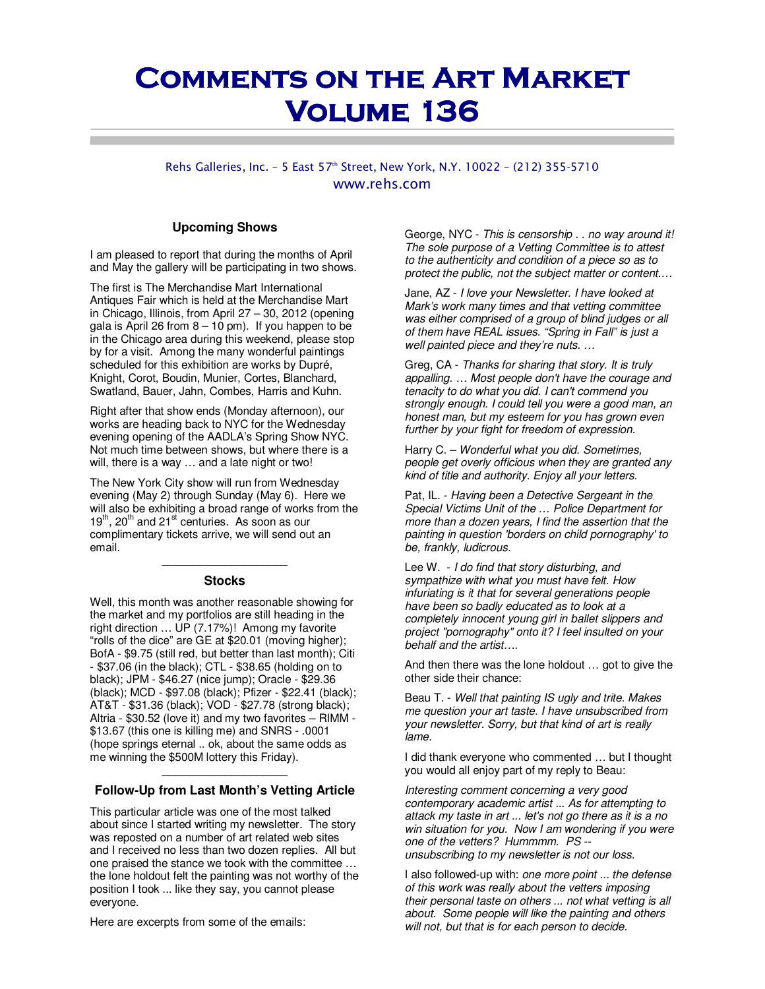# **COMMENTS ON THE ART MARKET Volume 136 Volume 136**

### Rehs Galleries, Inc. - 5 East 57th Street, New York, N.Y. 10022 - (212) 355-5710 www.rehs.com

#### **Upcoming Shows**

I am pleased to report that during the months of April and May the gallery will be participating in two shows.

The first is The Merchandise Mart International Antiques Fair which is held at the Merchandise Mart in Chicago, Illinois, from April 27 – 30, 2012 (opening gala is April 26 from  $8 - 10$  pm). If you happen to be in the Chicago area during this weekend, please stop by for a visit. Among the many wonderful paintings scheduled for this exhibition are works by Dupré, Knight, Corot, Boudin, Munier, Cortes, Blanchard, Swatland, Bauer, Jahn, Combes, Harris and Kuhn.

Right after that show ends (Monday afternoon), our works are heading back to NYC for the Wednesday evening opening of the AADLA's Spring Show NYC. Not much time between shows, but where there is a will, there is a way … and a late night or two!

The New York City show will run from Wednesday evening (May 2) through Sunday (May 6). Here we will also be exhibiting a broad range of works from the  $19<sup>th</sup>$ , 20<sup>th</sup> and 21<sup>st</sup> centuries. As soon as our complimentary tickets arrive, we will send out an email.

### \_\_\_\_\_\_\_\_\_\_\_\_\_\_\_\_\_\_\_\_ **Stocks**

Well, this month was another reasonable showing for the market and my portfolios are still heading in the right direction ... UP (7.17%)! Among my favorite "rolls of the dice" are GE at \$20.01 (moving higher); BofA - \$9.75 (still red, but better than last month); Citi - \$37.06 (in the black); CTL - \$38.65 (holding on to black); JPM - \$46.27 (nice jump); Oracle - \$29.36 (black); MCD - \$97.08 (black); Pfizer - \$22.41 (black); AT&T - \$31.36 (black); VOD - \$27.78 (strong black); Altria - \$30.52 (love it) and my two favorites – RIMM - \$13.67 (this one is killing me) and SNRS - .0001 (hope springs eternal .. ok, about the same odds as me winning the \$500M lottery this Friday).

# \_\_\_\_\_\_\_\_\_\_\_\_\_\_\_\_\_\_\_\_ **Follow-Up from Last Month's Vetting Article**

This particular article was one of the most talked about since I started writing my newsletter. The story was reposted on a number of art related web sites and I received no less than two dozen replies. All but one praised the stance we took with the committee … the lone holdout felt the painting was not worthy of the position I took ... like they say, you cannot please everyone.

Here are excerpts from some of the emails:

George, NYC - This is censorship . . no way around it! The sole purpose of a Vetting Committee is to attest to the authenticity and condition of a piece so as to protect the public, not the subject matter or content.…

Jane, AZ - I love your Newsletter. I have looked at Mark's work many times and that vetting committee was either comprised of a group of blind judges or all of them have REAL issues. "Spring in Fall" is just a well painted piece and they're nuts. …

Greg, CA - Thanks for sharing that story. It is truly appalling. … Most people don't have the courage and tenacity to do what you did. I can't commend you strongly enough. I could tell you were a good man, an honest man, but my esteem for you has grown even further by your fight for freedom of expression.

Harry C. – Wonderful what you did. Sometimes, people get overly officious when they are granted any kind of title and authority. Enjoy all your letters.

Pat, IL. - Having been a Detective Sergeant in the Special Victims Unit of the … Police Department for more than a dozen years, I find the assertion that the painting in question 'borders on child pornography' to be, frankly, ludicrous.

Lee W. - I do find that story disturbing, and sympathize with what you must have felt. How infuriating is it that for several generations people have been so badly educated as to look at a completely innocent young girl in ballet slippers and project "pornography" onto it? I feel insulted on your behalf and the artist….

And then there was the lone holdout … got to give the other side their chance:

Beau T. - Well that painting IS ugly and trite. Makes me question your art taste. I have unsubscribed from your newsletter. Sorry, but that kind of art is really lame.

I did thank everyone who commented … but I thought you would all enjoy part of my reply to Beau:

Interesting comment concerning a very good contemporary academic artist ... As for attempting to attack my taste in art ... let's not go there as it is a no win situation for you. Now I am wondering if you were one of the vetters? Hummmm. PS - unsubscribing to my newsletter is not our loss.

I also followed-up with: one more point ... the defense of this work was really about the vetters imposing their personal taste on others ... not what vetting is all about. Some people will like the painting and others will not, but that is for each person to decide.